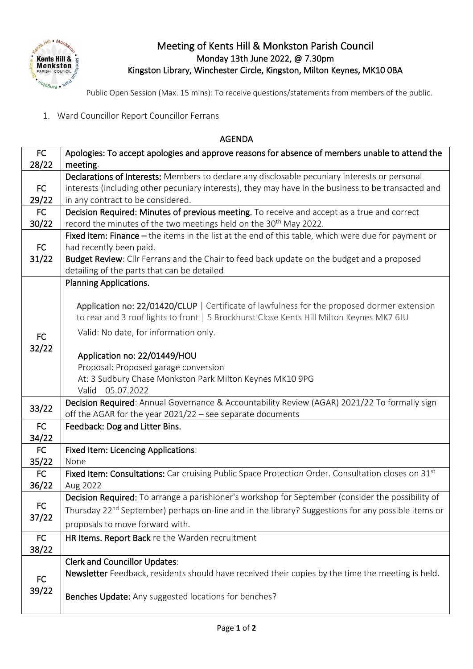

## Meeting of Kents Hill & Monkston Parish Council Monday 13th June 2022, @ 7.30pm Kingston Library, Winchester Circle, Kingston, Milton Keynes, MK10 0BA

Public Open Session (Max. 15 mins): To receive questions/statements from members of the public.

1. Ward Councillor Report Councillor Ferrans

## AGENDA

| FC          | Apologies: To accept apologies and approve reasons for absence of members unable to attend the                                                                                          |
|-------------|-----------------------------------------------------------------------------------------------------------------------------------------------------------------------------------------|
| 28/22       | meeting.                                                                                                                                                                                |
|             | Declarations of Interests: Members to declare any disclosable pecuniary interests or personal                                                                                           |
| FC          | interests (including other pecuniary interests), they may have in the business to be transacted and                                                                                     |
| 29/22       | in any contract to be considered.                                                                                                                                                       |
| FC          | Decision Required: Minutes of previous meeting. To receive and accept as a true and correct                                                                                             |
| 30/22       | record the minutes of the two meetings held on the 30 <sup>th</sup> May 2022.                                                                                                           |
|             | Fixed item: Finance - the items in the list at the end of this table, which were due for payment or                                                                                     |
| FC          | had recently been paid.                                                                                                                                                                 |
| 31/22       | Budget Review: Cllr Ferrans and the Chair to feed back update on the budget and a proposed                                                                                              |
|             | detailing of the parts that can be detailed                                                                                                                                             |
|             | <b>Planning Applications.</b>                                                                                                                                                           |
|             |                                                                                                                                                                                         |
|             | Application no: 22/01420/CLUP   Certificate of lawfulness for the proposed dormer extension<br>to rear and 3 roof lights to front   5 Brockhurst Close Kents Hill Milton Keynes MK7 6JU |
|             |                                                                                                                                                                                         |
| <b>FC</b>   | Valid: No date, for information only.                                                                                                                                                   |
| 32/22       |                                                                                                                                                                                         |
|             | Application no: 22/01449/HOU                                                                                                                                                            |
|             | Proposal: Proposed garage conversion                                                                                                                                                    |
|             | At: 3 Sudbury Chase Monkston Park Milton Keynes MK10 9PG                                                                                                                                |
|             | Valid<br>05.07.2022                                                                                                                                                                     |
| 33/22       | Decision Required: Annual Governance & Accountability Review (AGAR) 2021/22 To formally sign                                                                                            |
|             | off the AGAR for the year 2021/22 - see separate documents                                                                                                                              |
| FC          | Feedback: Dog and Litter Bins.                                                                                                                                                          |
| 34/22       |                                                                                                                                                                                         |
| FC          | <b>Fixed Item: Licencing Applications:</b><br>None                                                                                                                                      |
| 35/22<br>FC | Fixed Item: Consultations: Car cruising Public Space Protection Order. Consultation closes on 31st                                                                                      |
| 36/22       | Aug 2022                                                                                                                                                                                |
|             | Decision Required: To arrange a parishioner's workshop for September (consider the possibility of                                                                                       |
| FC          | Thursday 22 <sup>nd</sup> September) perhaps on-line and in the library? Suggestions for any possible items or                                                                          |
| 37/22       |                                                                                                                                                                                         |
|             | proposals to move forward with.                                                                                                                                                         |
| FC          | HR Items. Report Back re the Warden recruitment                                                                                                                                         |
| 38/22       |                                                                                                                                                                                         |
|             | <b>Clerk and Councillor Updates:</b>                                                                                                                                                    |
| <b>FC</b>   | Newsletter Feedback, residents should have received their copies by the time the meeting is held.                                                                                       |
|             |                                                                                                                                                                                         |
| 39/22       | Benches Update: Any suggested locations for benches?                                                                                                                                    |